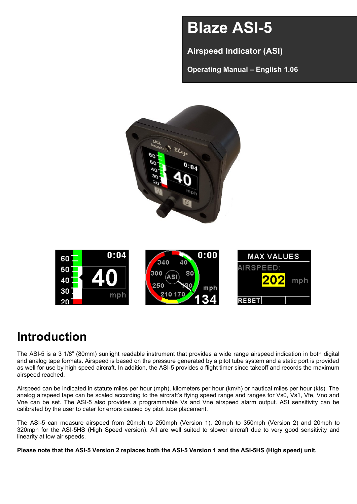# **Blaze ASI-5**

**Airspeed Indicator (ASI)**

**Operating Manual – English 1.06**



# **Introduction**

The ASI-5 is a 3 1/8" (80mm) sunlight readable instrument that provides a wide range airspeed indication in both digital and analog tape formats. Airspeed is based on the pressure generated by a pitot tube system and a static port is provided as well for use by high speed aircraft. In addition, the ASI-5 provides a flight timer since takeoff and records the maximum airspeed reached.

Airspeed can be indicated in statute miles per hour (mph), kilometers per hour (km/h) or nautical miles per hour (kts). The analog airspeed tape can be scaled according to the aircraft's flying speed range and ranges for Vs0, Vs1, Vfe, Vno and Vne can be set. The ASI-5 also provides a programmable Vs and Vne airspeed alarm output. ASI sensitivity can be calibrated by the user to cater for errors caused by pitot tube placement.

The ASI-5 can measure airspeed from 20mph to 250mph (Version 1), 20mph to 350mph (Version 2) and 20mph to 320mph for the ASI-5HS (High Speed version). All are well suited to slower aircraft due to very good sensitivity and linearity at low air speeds.

**Please note that the ASI-5 Version 2 replaces both the ASI-5 Version 1 and the ASI-5HS (High speed) unit.**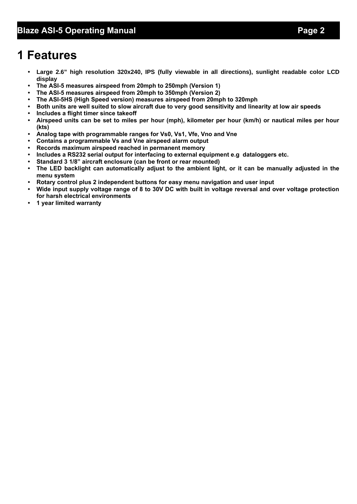# **1 Features**

- **• Large 2.6" high resolution 320x240, IPS (fully viewable in all directions), sunlight readable color LCD display**
- **• The ASI-5 measures airspeed from 20mph to 250mph (Version 1)**
- **• The ASI-5 measures airspeed from 20mph to 350mph (Version 2)**
- **• The ASI-5HS (High Speed version) measures airspeed from 20mph to 320mph**
- **• Both units are well suited to slow aircraft due to very good sensitivity and linearity at low air speeds**
- **• Includes a flight timer since takeoff**
- **• Airspeed units can be set to miles per hour (mph), kilometer per hour (km/h) or nautical miles per hour (kts)**
- **• Analog tape with programmable ranges for Vs0, Vs1, Vfe, Vno and Vne**
- **• Contains a programmable Vs and Vne airspeed alarm output**
- **• Records maximum airspeed reached in permanent memory**
- **• Includes a RS232 serial output for interfacing to external equipment e.g dataloggers etc.**
- **• Standard 3 1/8" aircraft enclosure (can be front or rear mounted)**
- **• The LED backlight can automatically adjust to the ambient light, or it can be manually adjusted in the menu system**
- **• Rotary control plus 2 independent buttons for easy menu navigation and user input**
- **• Wide input supply voltage range of 8 to 30V DC with built in voltage reversal and over voltage protection for harsh electrical environments**
- **• 1 year limited warranty**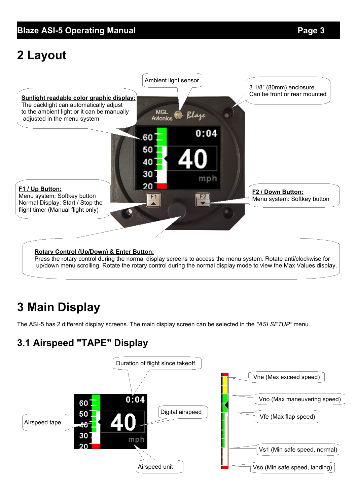# **2 Layout**



Press the rotary control during the normal display screens to access the menu system. Rotate anti/clockwise for up/down menu scrolling. Rotate the rotary control during the normal display mode to view the Max Values display.

# **3 Main Display**

The ASI-5 has 2 different display screens. The main display screen can be selected in the *"ASI SETUP"* menu.

## **3.1 Airspeed "TAPE" Display**

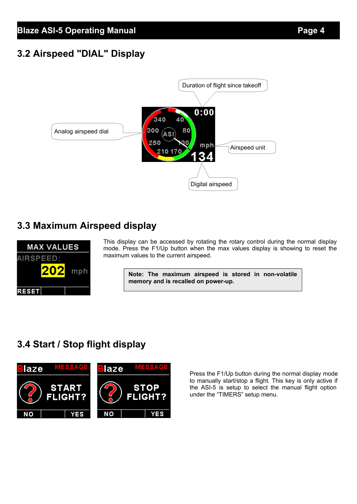## **3.2 Airspeed "DIAL" Display**



## **3.3 Maximum Airspeed display**



This display can be accessed by rotating the rotary control during the normal display mode. Press the F1/Up button when the max values display is showing to reset the maximum values to the current airspeed.

**Note: The maximum airspeed is stored in non-volatile memory and is recalled on power-up.**

## **3.4 Start / Stop flight display**



Press the F1/Up button during the normal display mode to manually start/stop a flight. This key is only active if the ASI-5 is setup to select the manual flight option under the "TIMERS" setup menu.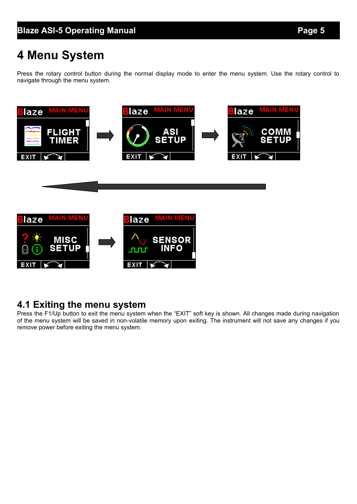# **4 Menu System**

Press the rotary control button during the normal display mode to enter the menu system. Use the rotary control to navigate through the menu system.



## **4.1 Exiting the menu system**

Press the F1/Up button to exit the menu system when the "EXIT" soft key is shown. All changes made during navigation of the menu system will be saved in non-volatile memory upon exiting. The instrument will not save any changes if you remove power before exiting the menu system.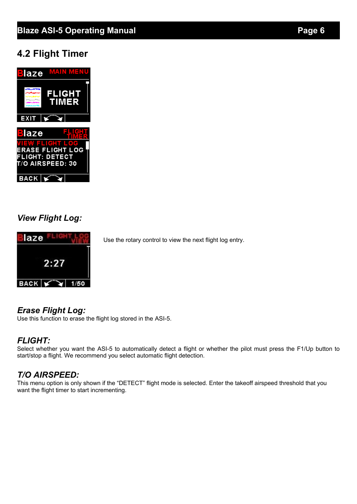## **Blaze ASI-5 Operating Manual** *Page 6*

## **4.2 Flight Timer**



## *View Flight Log:*



Use the rotary control to view the next flight log entry.

## *Erase Flight Log:*

Use this function to erase the flight log stored in the ASI-5.

## *FLIGHT:*

Select whether you want the ASI-5 to automatically detect a flight or whether the pilot must press the F1/Up button to start/stop a flight. We recommend you select automatic flight detection.

## *T/O AIRSPEED:*

This menu option is only shown if the "DETECT" flight mode is selected. Enter the takeoff airspeed threshold that you want the flight timer to start incrementing.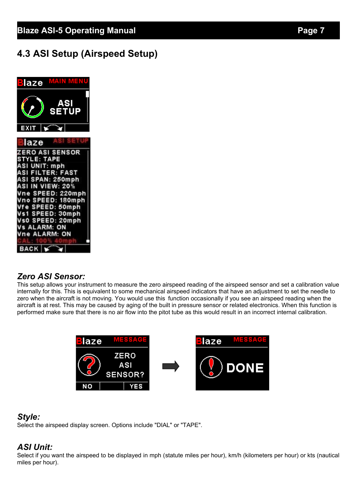## **4.3 ASI Setup (Airspeed Setup)**



#### *Zero ASI Sensor:*

This setup allows your instrument to measure the zero airspeed reading of the airspeed sensor and set a calibration value internally for this. This is equivalent to some mechanical airspeed indicators that have an adjustment to set the needle to zero when the aircraft is not moving. You would use this function occasionally if you see an airspeed reading when the aircraft is at rest. This may be caused by aging of the built in pressure sensor or related electronics. When this function is performed make sure that there is no air flow into the pitot tube as this would result in an incorrect internal calibration.



#### *Style:*

Select the airspeed display screen. Options include "DIAL" or "TAPE".

## *ASI Unit:*

Select if you want the airspeed to be displayed in mph (statute miles per hour), km/h (kilometers per hour) or kts (nautical miles per hour).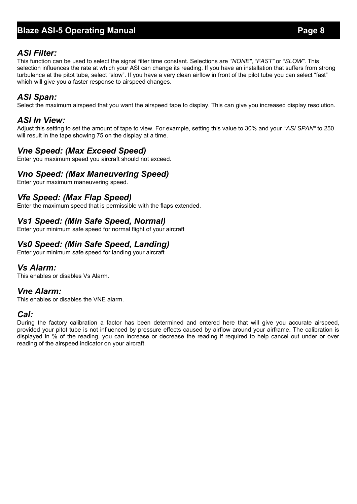## **Blaze ASI-5 Operating Manual** *Page 8*

#### *ASI Filter:*

This function can be used to select the signal filter time constant. Selections are *"NONE"*, *"FAST"* or *"SLOW"*. This selection influences the rate at which your ASI can change its reading. If you have an installation that suffers from strong turbulence at the pitot tube, select "slow". If you have a very clean airflow in front of the pilot tube you can select "fast" which will give you a faster response to airspeed changes.

#### *ASI Span:*

Select the maximum airspeed that you want the airspeed tape to display. This can give you increased display resolution.

#### *ASI In View:*

Adjust this setting to set the amount of tape to view. For example, setting this value to 30% and your *"ASI SPAN"* to 250 will result in the tape showing 75 on the display at a time.

#### *Vne Speed: (Max Exceed Speed)*

Enter you maximum speed you aircraft should not exceed.

#### *Vno Speed: (Max Maneuvering Speed)*

Enter your maximum maneuvering speed.

#### *Vfe Speed: (Max Flap Speed)*

Enter the maximum speed that is permissible with the flaps extended.

#### *Vs1 Speed: (Min Safe Speed, Normal)*

Enter your minimum safe speed for normal flight of your aircraft

## *Vs0 Speed: (Min Safe Speed, Landing)*

Enter your minimum safe speed for landing your aircraft

#### *Vs Alarm:*

This enables or disables Vs Alarm.

## *Vne Alarm:*

This enables or disables the VNE alarm.

#### *Cal:*

During the factory calibration a factor has been determined and entered here that will give you accurate airspeed, provided your pitot tube is not influenced by pressure effects caused by airflow around your airframe. The calibration is displayed in % of the reading, you can increase or decrease the reading if required to help cancel out under or over reading of the airspeed indicator on your aircraft.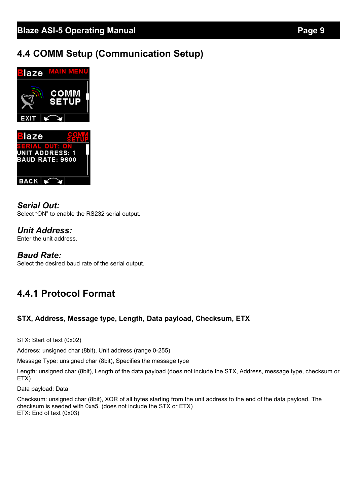## **4.4 COMM Setup (Communication Setup)**



*Serial Out:* Select "ON" to enable the RS232 serial output.

*Unit Address:* Enter the unit address.

#### *Baud Rate:*

Select the desired baud rate of the serial output.

## **4.4.1 Protocol Format**

#### **STX, Address, Message type, Length, Data payload, Checksum, ETX**

STX: Start of text (0x02)

Address: unsigned char (8bit), Unit address (range 0-255)

Message Type: unsigned char (8bit), Specifies the message type

Length: unsigned char (8bit), Length of the data payload (does not include the STX, Address, message type, checksum or ETX)

Data payload: Data

Checksum: unsigned char (8bit), XOR of all bytes starting from the unit address to the end of the data payload. The checksum is seeded with 0xa5. (does not include the STX or ETX) ETX: End of text (0x03)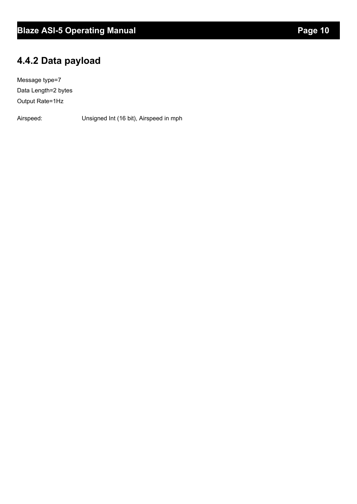## **4.4.2 Data payload**

Message type=7 Data Length=2 bytes Output Rate=1Hz

Airspeed: Unsigned Int (16 bit), Airspeed in mph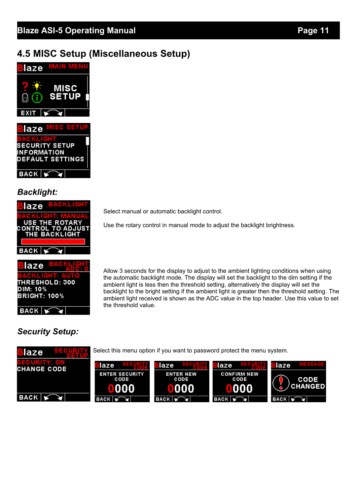## **4.5 MISC Setup (Miscellaneous Setup)**





## *Backlight:*

| Blaze BACKLIGH                            |
|-------------------------------------------|
| BACKLICHT: MAN<br><b>USE THE ROTARY</b>   |
| <b>CONTROL TO ADJUST</b><br>THE BACKLIGHT |
|                                           |
| <b>BACK</b>                               |
|                                           |



## *Security Setup:*

Select manual or automatic backlight control.

Use the rotary control in manual mode to adjust the backlight brightness.

Allow 3 seconds for the display to adjust to the ambient lighting conditions when using the automatic backlight mode. The display will set the backlight to the dim setting if the ambient light is less then the threshold setting, alternatively the display will set the backlight to the bright setting if the ambient light is greater then the threshold setting. The ambient light received is shown as the ADC value in the top header. Use this value to set the threshold value.

#### Select this menu option if you want to password protect the menu system.laze laze laze laze laze **CHANGE CODE** ENTER SECURITY<br>CODE **CONFIRM NEW ENTER NEW** CODE CODE **CODE CHANGED** 000 oo n п OIOIO) Ω n  $BACK$ **BACK BACK BACK**  $BACK$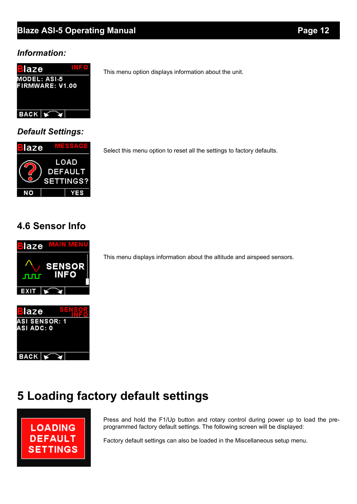## **Blaze ASI-5 Operating Manual** *Page 12* **Page 12**

#### *Information:*



*Default Settings:*



Select this menu option to reset all the settings to factory defaults.

This menu option displays information about the unit.

## **4.6 Sensor Info**



**ASI SENSOR: 1** ASI ADC: 0

 $BACK$ 

This menu displays information about the altitude and airspeed sensors.

# **5 Loading factory default settings**



¥

Press and hold the F1/Up button and rotary control during power up to load the preprogrammed factory default settings. The following screen will be displayed:

Factory default settings can also be loaded in the Miscellaneous setup menu.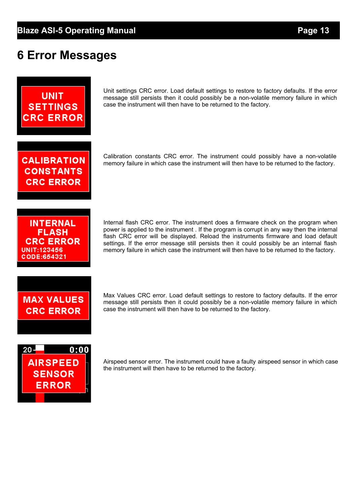# **6 Error Messages**



Unit settings CRC error. Load default settings to restore to factory defaults. If the error message still persists then it could possibly be a non-volatile memory failure in which case the instrument will then have to be returned to the factory.

**CALIBRATION CONSTANTS CRC ERROR** 

memory failure in which case the instrument will then have to be returned to the factory.

Calibration constants CRC error. The instrument could possibly have a non-volatile

**INTERNAL FLASH CRC ERROR** UNIT:123456 CODE:654321

Internal flash CRC error. The instrument does a firmware check on the program when power is applied to the instrument . If the program is corrupt in any way then the internal flash CRC error will be displayed. Reload the instruments firmware and load default settings. If the error message still persists then it could possibly be an internal flash memory failure in which case the instrument will then have to be returned to the factory.

# **MAX VALUES CRC ERROR**

Max Values CRC error. Load default settings to restore to factory defaults. If the error message still persists then it could possibly be a non-volatile memory failure in which case the instrument will then have to be returned to the factory.



Airspeed sensor error. The instrument could have a faulty airspeed sensor in which case the instrument will then have to be returned to the factory.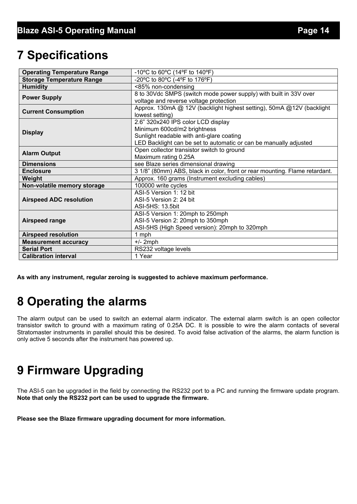# **7 Specifications**

| <b>Operating Temperature Range</b> | -10°C to 60°C (14°F to 140°F)                                               |  |  |
|------------------------------------|-----------------------------------------------------------------------------|--|--|
| <b>Storage Temperature Range</b>   | -20°C to 80°C (-4°F to 176°F)                                               |  |  |
| <b>Humidity</b>                    | <85% non-condensing                                                         |  |  |
| <b>Power Supply</b>                | 8 to 30Vdc SMPS (switch mode power supply) with built in 33V over           |  |  |
|                                    | voltage and reverse voltage protection                                      |  |  |
| <b>Current Consumption</b>         | Approx. 130mA @ 12V (backlight highest setting), 50mA @12V (backlight       |  |  |
|                                    | lowest setting)                                                             |  |  |
|                                    | 2.6" 320x240 IPS color LCD display                                          |  |  |
| <b>Display</b>                     | Minimum 600cd/m2 brightness                                                 |  |  |
|                                    | Sunlight readable with anti-glare coating                                   |  |  |
|                                    | LED Backlight can be set to automatic or can be manually adjusted           |  |  |
| <b>Alarm Output</b>                | Open collector transistor switch to ground                                  |  |  |
|                                    | Maximum rating 0.25A                                                        |  |  |
| <b>Dimensions</b>                  | see Blaze series dimensional drawing                                        |  |  |
| <b>Enclosure</b>                   | 3 1/8" (80mm) ABS, black in color, front or rear mounting. Flame retardant. |  |  |
| Weight                             | Approx. 160 grams (Instrument excluding cables)                             |  |  |
| Non-volatile memory storage        | 100000 write cycles                                                         |  |  |
|                                    | ASI-5 Version 1: 12 bit                                                     |  |  |
| <b>Airspeed ADC resolution</b>     | ASI-5 Version 2: 24 bit                                                     |  |  |
|                                    | ASI-5HS: 13.5bit                                                            |  |  |
|                                    | ASI-5 Version 1: 20mph to 250mph                                            |  |  |
| <b>Airspeed range</b>              | ASI-5 Version 2: 20mph to 350mph                                            |  |  |
|                                    | ASI-5HS (High Speed version): 20mph to 320mph                               |  |  |
| <b>Airspeed resolution</b>         | 1 mph                                                                       |  |  |
| <b>Measurement accuracy</b>        | $+/- 2$ mph                                                                 |  |  |
| <b>Serial Port</b>                 | RS232 voltage levels                                                        |  |  |
| <b>Calibration interval</b>        | 1 Year                                                                      |  |  |

**As with any instrument, regular zeroing is suggested to achieve maximum performance.**

# **8 Operating the alarms**

The alarm output can be used to switch an external alarm indicator. The external alarm switch is an open collector transistor switch to ground with a maximum rating of 0.25A DC. It is possible to wire the alarm contacts of several Stratomaster instruments in parallel should this be desired. To avoid false activation of the alarms, the alarm function is only active 5 seconds after the instrument has powered up.

# **9 Firmware Upgrading**

The ASI-5 can be upgraded in the field by connecting the RS232 port to a PC and running the firmware update program. **Note that only the RS232 port can be used to upgrade the firmware.**

**Please see the Blaze firmware upgrading document for more information.**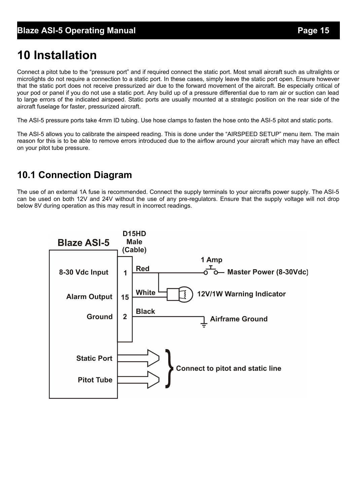# **10 Installation**

Connect a pitot tube to the "pressure port" and if required connect the static port. Most small aircraft such as ultralights or microlights do not require a connection to a static port. In these cases, simply leave the static port open. Ensure however that the static port does not receive pressurized air due to the forward movement of the aircraft. Be especially critical of your pod or panel if you do not use a static port. Any build up of a pressure differential due to ram air or suction can lead to large errors of the indicated airspeed. Static ports are usually mounted at a strategic position on the rear side of the aircraft fuselage for faster, pressurized aircraft.

The ASI-5 pressure ports take 4mm ID tubing. Use hose clamps to fasten the hose onto the ASI-5 pitot and static ports.

The ASI-5 allows you to calibrate the airspeed reading. This is done under the "AIRSPEED SETUP" menu item. The main reason for this is to be able to remove errors introduced due to the airflow around your aircraft which may have an effect on your pitot tube pressure.

## **10.1 Connection Diagram**

The use of an external 1A fuse is recommended. Connect the supply terminals to your aircrafts power supply. The ASI-5 can be used on both 12V and 24V without the use of any pre-regulators. Ensure that the supply voltage will not drop below 8V during operation as this may result in incorrect readings.

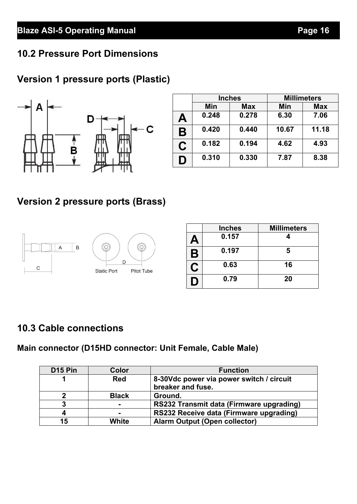## **10.2 Pressure Port Dimensions**

## **Version 1 pressure ports (Plastic)**



|   | <b>Inches</b> |            | <b>Millimeters</b> |            |
|---|---------------|------------|--------------------|------------|
|   | Min           | <b>Max</b> | Min                | <b>Max</b> |
| Α | 0.248         | 0.278      | 6.30               | 7.06       |
| B | 0.420         | 0.440      | 10.67              | 11.18      |
| C | 0.182         | 0.194      | 4.62               | 4.93       |
| D | 0.310         | 0.330      | 7.87               | 8.38       |

## **Version 2 pressure ports (Brass)**



|   | <b>Inches</b> | <b>Millimeters</b> |
|---|---------------|--------------------|
| Д | 0.157         |                    |
| Β | 0.197         | 5                  |
| C | 0.63          | 16                 |
| Ð | 0.79          | 20                 |

## **10.3 Cable connections**

**Main connector (D15HD connector: Unit Female, Cable Male)**

| D <sub>15</sub> Pin | Color        | <b>Function</b>                          |
|---------------------|--------------|------------------------------------------|
|                     | <b>Red</b>   | 8-30Vdc power via power switch / circuit |
|                     |              | breaker and fuse.                        |
| 2                   | <b>Black</b> | Ground.                                  |
| 3                   |              | RS232 Transmit data (Firmware upgrading) |
| 4                   | $\sim$       | RS232 Receive data (Firmware upgrading)  |
| 15                  | White        | <b>Alarm Output (Open collector)</b>     |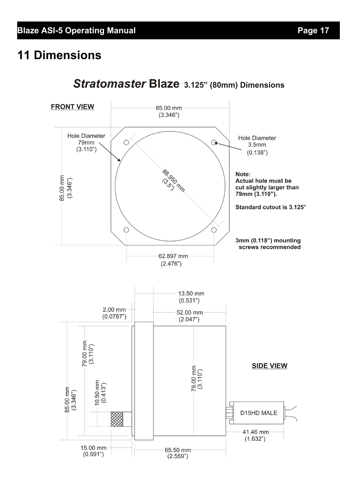# **11 Dimensions**



## Stratomaster Blaze 3.125" (80mm) Dimensions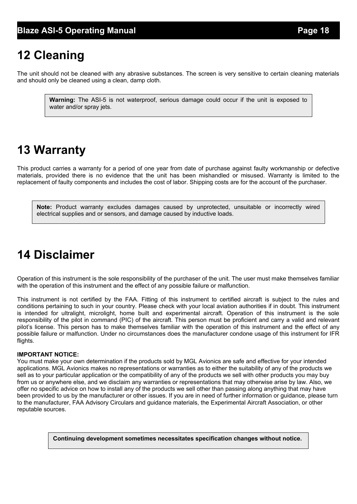# **12 Cleaning**

The unit should not be cleaned with any abrasive substances. The screen is very sensitive to certain cleaning materials and should only be cleaned using a clean, damp cloth.

**Warning:** The ASI-5 is not waterproof, serious damage could occur if the unit is exposed to water and/or spray jets.

# **13 Warranty**

This product carries a warranty for a period of one year from date of purchase against faulty workmanship or defective materials, provided there is no evidence that the unit has been mishandled or misused. Warranty is limited to the replacement of faulty components and includes the cost of labor. Shipping costs are for the account of the purchaser.

**Note:** Product warranty excludes damages caused by unprotected, unsuitable or incorrectly wired electrical supplies and or sensors, and damage caused by inductive loads.

# **14 Disclaimer**

Operation of this instrument is the sole responsibility of the purchaser of the unit. The user must make themselves familiar with the operation of this instrument and the effect of any possible failure or malfunction.

This instrument is not certified by the FAA. Fitting of this instrument to certified aircraft is subject to the rules and conditions pertaining to such in your country. Please check with your local aviation authorities if in doubt. This instrument is intended for ultralight, microlight, home built and experimental aircraft. Operation of this instrument is the sole responsibility of the pilot in command (PIC) of the aircraft. This person must be proficient and carry a valid and relevant pilot's license. This person has to make themselves familiar with the operation of this instrument and the effect of any possible failure or malfunction. Under no circumstances does the manufacturer condone usage of this instrument for IFR flights.

#### **IMPORTANT NOTICE:**

You must make your own determination if the products sold by MGL Avionics are safe and effective for your intended applications. MGL Avionics makes no representations or warranties as to either the suitability of any of the products we sell as to your particular application or the compatibility of any of the products we sell with other products you may buy from us or anywhere else, and we disclaim any warranties or representations that may otherwise arise by law. Also, we offer no specific advice on how to install any of the products we sell other than passing along anything that may have been provided to us by the manufacturer or other issues. If you are in need of further information or guidance, please turn to the manufacturer, FAA Advisory Circulars and guidance materials, the Experimental Aircraft Association, or other reputable sources.

**Continuing development sometimes necessitates specification changes without notice.**